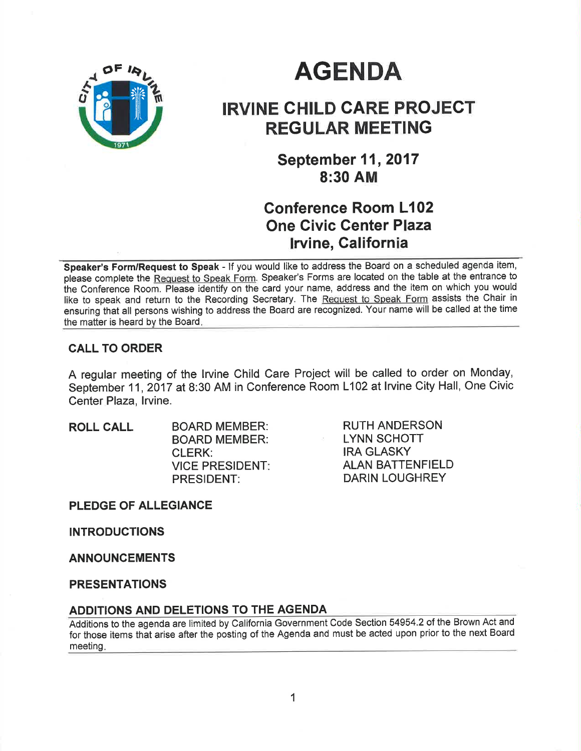

# **AGENDA**

## IRVINE CHILD CARE PROJECT REGULAR MEETING

**September 11, 2017** 8:30 AM

## Conference Room L102 One Civic Genter Plaza lrvine, Galifornia

Speaker's Form/Request to Speak - If you would like to address the Board on a scheduled agenda item, please complete the Request to Speak Form. Speaker's Forms are located on the table at the entrance to ihe Conference Room. Please identify on the card your name, address and the item on which you would like to speak and return to the Recording Secretary. The Request to Speak Form assists the Chair in ensuring that all persons wishing to address the Board are recognized. Your name will be called at the time the matter is heard by the Board

## CALL TO ORDER

A regular meeting of the lrvine Child Care Project will be called to order on Monday, September 11, 2017 at 8:30 AM in Conference Room L102 at Irvine City Hall, One Civic Center Plaza, lrvine.

ROLL CALL BOARD MEMBER: BOARD MEMBER: CLERK: VICE PRESIDENT PRESIDENT:

RUTH ANDERSON LYNN SCHOTT IRA GLASKY ALAN BATTENFIELD DARIN LOUGHREY

PLEDGE OF ALLEGIANCE

INTRODUCTIONS

ANNOUNCEMENTS

PRESENTATIONS

## ADDITIONS AND DELETIONS TO THE AGENDA

Additions to the agenda are limited by California Government Code Section 54954.2 of the <sup>B</sup> rown Act and for those items that arise after the posting of the Agenda and must be acted upon prior to the next Board meeting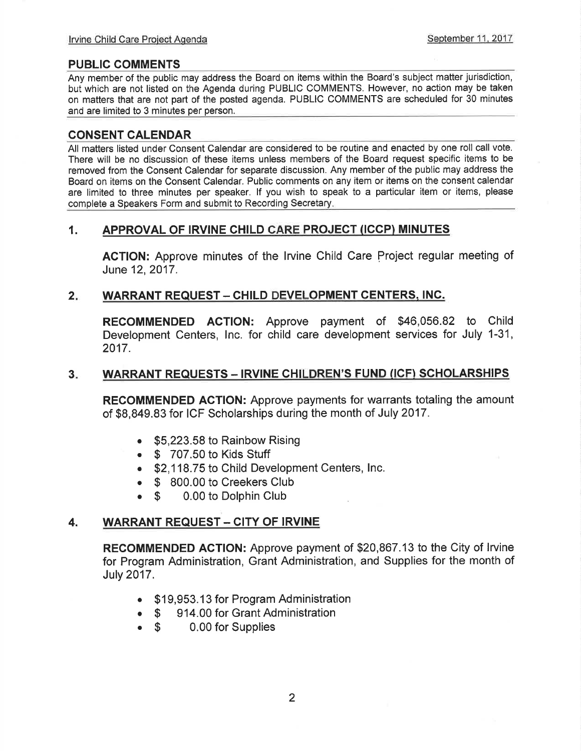#### PUBLIC COMMENTS

Any member of the public may address the Board on items within the Board's subject matter jurisdiction, but which are not listed on the Agenda during PUBLIC COMMENTS. However, no action may be taken on matters that are not part of the posted agenda. PUBLIC COMMENTS are scheduled for 30 minutes and are limited to 3 minutes per person.

#### CONSENT CALENDAR

All matters listed under Consent Calendar are considered to be routine and enacted by one roll call vote. There will be no discussion of these items unless members of the Board request specific items to be removed from the Consent Calendar for separate discussion. Any member of the public may address the Board on items on the Consent Calendar. Public comments on any item or items on the consent calendar are limited to three minutes per speaker. lf you wish to speak to a particular item or items, please complete a Speakers Form and submit to Recording Secretary

#### 1. APPROVAL OF IRVINE CHILD CARE PROJECT (ICCP) MINUTES

AGTION: Approve minutes of the lrvine Child Care Project regular meeting of June 12,2017.

#### 2. WARRANT REQUEST - CHILD DEVELOPMENT CENTERS. INC.

RECOMMENDED ACTION: Approve payment of \$46,056.82 to Child Development Centers, lnc. for child care development services for July 1-31, 2017.

#### 3. WARRANT REQUESTS - IRVINE CHILDREN'S FUND (ICF) SCHOLARSHIPS

RECOMMENDED AGTION: Approve payments for warrants totaling the amount of \$8,849.83 for ICF Scholarships during the month of July 2017.

- $\bullet$  \$5,223.58 to Rainbow Rising
- $\bullet$  \$ 707.50 to Kids Stuff
- \$2,118.75 to Child Development Centers, Inc.
- 
- \$ 800.00 to Creekers Club<br>● \$ 0.00 to Dolphin Club 0.00 to Dolphin Club

#### 4. WARRANT REQUEST - CITY OF IRVINE

RECOMMENDED ACTION: Approve payment of \$20,867.13 to the City of lrvine for Program Administration, Grant Administration, and Supplies for the month of July 2017.

- . \$19,953.13 for Program Administration
- \$ 914.00 for Grant Administration<br>• \$ 0.00 for Supplies
- 0.00 for Supplies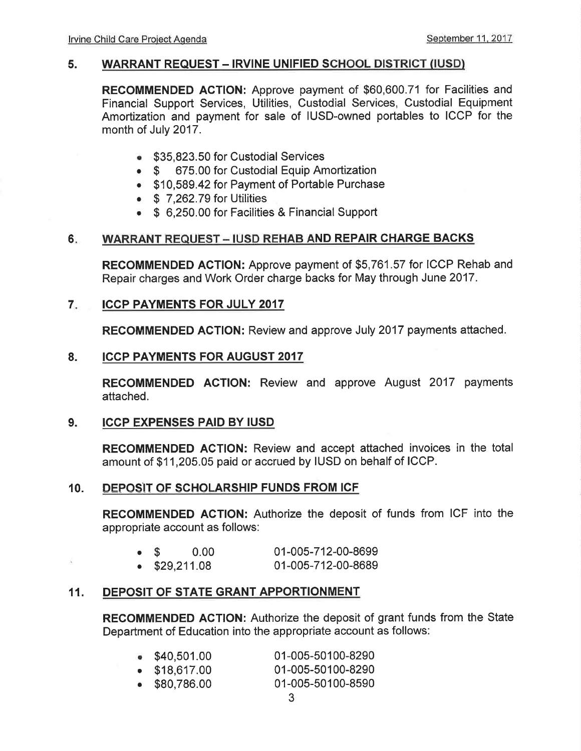#### 5. WARRANT REQUEST - IRVINE UNIFIED SCHOOL DISTRICT (IUSD)

RECOMMENDED ACTION: Approve payment of \$60,600.71 for Facilities and Financial Support Services, Utilities, Custodial Services, Custodial Equipment Amortization and payment for sale of IUSD-owned portables to ICCP for the month of July 2017.

- **\$35,823.50 for Custodial Services**<br>• \$ 675.00 for Custodial Equip An
- 675.00 for Custodial Equip Amortization
- . \$10,589.42 for Payment of Portable Purchase
- $\bullet$  \$ 7,262.79 for Utilities
- \$ 6,250.00 for Facilities & Financial Support

### 6. WARRANT REQUEST - IUSD REHAB AND REPAIR CHARGE BACKS

RECOMMENDED ACTION: Approve payment of \$5,761.57 for ICCP Rehab and Repair charges and Work Order charge backs for May through June 2017.

#### ICCP PAYMENTS FOR JULY 2OI7 7

RECOMMENDED AGTION: Review and approve July 2017 payments attached.

#### ICCP PAYMENTS FOR AUGUST 2017 8.

RECOMMENDED ACTION: Review and approve August 2017 payments attached.

#### ICCP EXPENSES PAID BY IUSD 9.

Ń.

RECOMMENDED ACTION: Review and accept attached invoices in the total amount of \$11,205.05 paid or accrued by IUSD on behalf of ICCP.

#### 10. DEPOSIT OF SCHOLARSHIP FUNDS FROM ICF

RECOMMENDED AGTION: Authorize the deposit of funds from ICF into the appropriate account as follows:

| $\bullet$ S |                       | 0.00 | 01-005-712-00-8699 |
|-------------|-----------------------|------|--------------------|
|             | $\bullet$ \$29,211.08 |      | 01-005-712-00-8689 |

## 11. DEPOSIT OF STATE GRANT APPORTIONMENT

RECOMMENDED AGTION: Authorize the deposit of grant funds from the State Department of Education into the appropriate account as follows:

| \$40,501.00           | 01-005-50100-8290 |
|-----------------------|-------------------|
| $\bullet$ \$18,617.00 | 01-005-50100-8290 |
| $\bullet$ \$80,786.00 | 01-005-50100-8590 |
|                       |                   |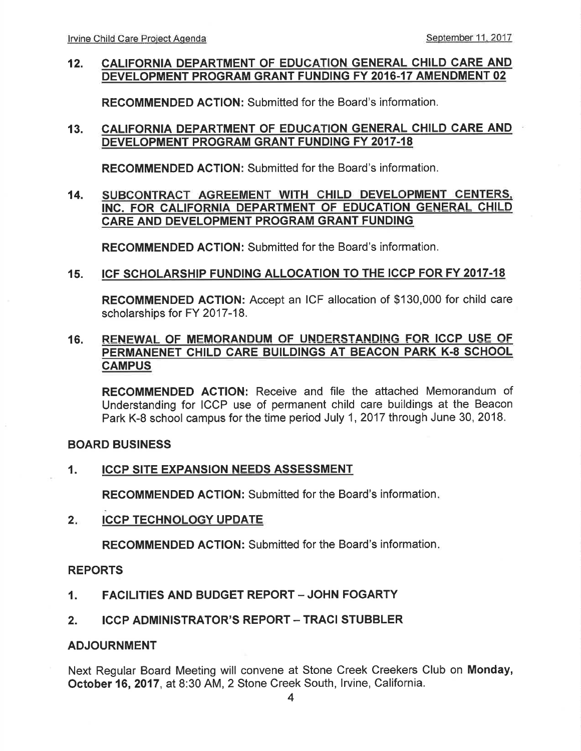#### 12. CALIFORNIA DEPARTMENT OF EDUCATION GENERAL CHILD CARE AND DEVELOPMENT PROGRAM GRANT FUNDING FY 20I6.17 AMENDMENT 02

RECOMMENDED AGTION: Submitted for the Board's information.

#### 13. CALIFORNIA DEPARTMENT OF EDUCATION GENERAL CHILD CARE AND DEVELOPMENT PROGRAM GRANT FUNDING FY 2017.18

RECOMMENDED AGTION: Submitted for the Board's information.

#### SUBCONTRACT AGREEMENT WITH CHILD DEVELOPMENT CENTERS. INC. FOR CALIFORNIA DEPARTMENT OF EDUCATION GENERAL CHILD CARE AND DEVELOPMENT PROGRAM GRANT FUNDING 14.

RECOMMENDED ACTION: Submitted for the Board's information.

#### ICF SCHOLARSHIP FUNDING ALLOCATION TO THE ICCP FOR FY 2017-18 15.

RECOMMENDED ACTION: Accept an ICF allocation of \$130,000 for child care scholarships for FY 2017-18.

#### 16. RENEWAL OF MEMORANDUM OF UNDERSTANDING FOR ICCP USE OF PERMANENET CHILD CARE BUILDINGS AT BEACON PARK K-8 SCHOOL **CAMPUS**

RECOMMENDED ACTION: Receive and file the attached Memorandum of Understanding for ICCP use of permanent child care buildings at the Beacon Park K-8 school campus for the time period July 1,2017 through June 30, 2018.

#### BOARD BUSINESS

#### 1. ICCP SITE EXPANSION NEEDS ASSESSMENT

RECOMMENDED ACTION: Submitted for the Board's information

2. ICCP TECHNOLOGY UPDATE

RECOMMENDED AGTION: Submitted for the Board's information

#### REPORTS

- 1. FACILITIES AND BUDGET REPORT JOHN FOGARTY
- 2. ICCP ADMINISTRATOR'S REPORT TRACI STUBBLER

#### ADJOURNMENT

Next Regular Board Meeting will convene at Stone Creek Creekers Club on Monday, October 16,2017, at 8:30 AM,2 Stone Creek South, lrvine, California.